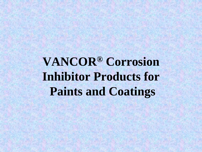**VANCOR® Corrosion Inhibitor Products for Paints and Coatings**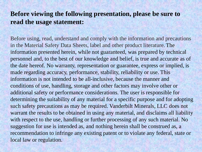#### **Before viewing the following presentation, please be sure to read the usage statement:**

Before using, read, understand and comply with the information and precautions in the Material Safety Data Sheets, label and other product literature. The information presented herein, while not guaranteed, was prepared by technical personnel and, to the best of our knowledge and belief, is true and accurate as of the date hereof. No warranty, representation or guarantee, express or implied, is made regarding accuracy, performance, stability, reliability or use. This information is not intended to be all-inclusive, because the manner and conditions of use, handling, storage and other factors may involve other or additional safety or performance considerations. The user is responsible for determining the suitability of any material for a specific purpose and for adopting such safety precautions as may be required. Vanderbilt Minerals, LLC does not warrant the results to be obtained in using any material, and disclaims all liability with respect to the use, handling or further processing of any such material. No suggestion for use is intended as, and nothing herein shall be construed as, a recommendation to infringe any existing patent or to violate any federal, state or local law or regulation.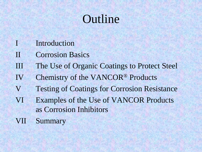#### **Outline**

- I Introduction
- II Corrosion Basics
- III The Use of Organic Coatings to Protect Steel
- IV Chemistry of the VANCOR® Products
- V Testing of Coatings for Corrosion Resistance
- VI Examples of the Use of VANCOR Products as Corrosion Inhibitors
- VII Summary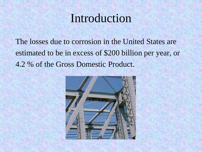#### Introduction

The losses due to corrosion in the United States are estimated to be in excess of \$200 billion per year, or 4.2 % of the Gross Domestic Product.

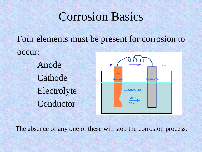#### Corrosion Basics

Four elements must be present for corrosion to occur: Anode ė - $+$ Cathode laad athode Electrolyte Electrolyte Conductor

The absence of any one of these will stop the corrosion process.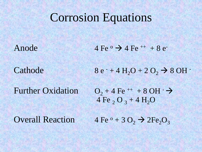#### Corrosion Equations

Further Oxidation

Anode  $4 \text{Fe}^{\circ} \rightarrow 4 \text{Fe}^{++} + 8 \text{e}^{-}$ 

Cathode 8 e  $+ 4 H<sub>2</sub>O + 2 O<sub>2</sub>$   $\rightarrow$  8 OH -

 $O_2 + 4 \text{ Fe}^{++} + 8 \text{ OH}^ 4 \text{Fe}$ , O<sub>3</sub> +  $4 \text{H}_2\text{O}$ 

Overall Reaction  $4 \text{Fe}^{\degree} + 3 \text{O}_2 \rightarrow 2 \text{Fe}_2\text{O}_3$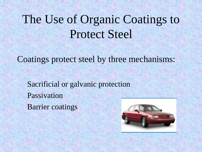### The Use of Organic Coatings to Protect Steel

Coatings protect steel by three mechanisms:

Sacrificial or galvanic protection Passivation Barrier coatings

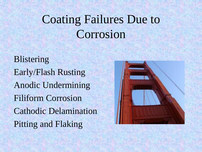### Coating Failures Due to Corrosion

Blistering Early/Flash Rusting Anodic Undermining Filiform Corrosion Cathodic Delamination Pitting and Flaking

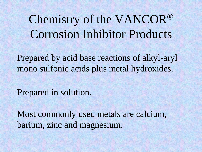Chemistry of the VANCOR® Corrosion Inhibitor Products

Prepared by acid base reactions of alkyl-aryl mono sulfonic acids plus metal hydroxides.

Prepared in solution.

Most commonly used metals are calcium, barium, zinc and magnesium.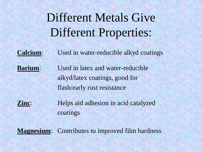Different Metals Give Different Properties:

**Calcium**: Used in water-reducible alkyd coatings

**Barium:** Used in latex and water-reducible alkyd/latex coatings, good for flash/early rust resistance

**Zinc:** Helps aid adhesion in acid catalyzed coatings

**Magnesium:** Contributes to improved film hardness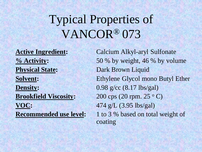### Typical Properties of VANCOR® 073

**Physical State:** Dark Brown Liquid **Density:** 0.98 g/cc (8.17 lbs/gal) **Brookfield Viscosity:** 200 cps (20 rpm. 25 °C) **VOC:** 474 g/L (3.95 lbs/gal)

**Active Ingredient:** Calcium Alkyl-aryl Sulfonate **% Activity:** 50 % by weight, 46 % by volume **Solvent:** Ethylene Glycol mono Butyl Ether **Recommended use level:** 1 to 3 % based on total weight of coating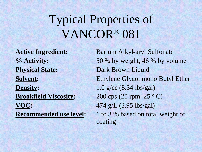### Typical Properties of VANCOR® 081

**Physical State:** Dark Brown Liquid **Density:** 1.0 g/cc (8.34 lbs/gal) **Brookfield Viscosity:** 200 cps (20 rpm. 25 °C) **VOC:** 474 g/L (3.95 lbs/gal)

**Active Ingredient:** Barium Alkyl-aryl Sulfonate **% Activity:** 50 % by weight, 46 % by volume **Solvent:** Ethylene Glycol mono Butyl Ether **Recommended use level:** 1 to 3 % based on total weight of coating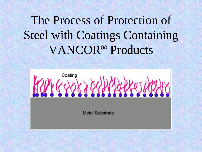## The Process of Protection of Steel with Coatings Containing VANCOR® Products

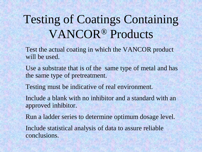## Testing of Coatings Containing VANCOR® Products

Test the actual coating in which the VANCOR product will be used.

Use a substrate that is of the same type of metal and has the same type of pretreatment.

Testing must be indicative of real environment.

Include a blank with no inhibitor and a standard with an approved inhibitor.

Run a ladder series to determine optimum dosage level.

Include statistical analysis of data to assure reliable conclusions.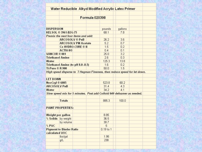|                                         |                                | Water Reducible Alkyd Modified Acrylic Latex Primer                       |             |         |  |
|-----------------------------------------|--------------------------------|---------------------------------------------------------------------------|-------------|---------|--|
|                                         |                                | <b>Formula 020398</b>                                                     |             |         |  |
|                                         |                                |                                                                           |             |         |  |
| <b>DISPERSION</b>                       |                                |                                                                           | pounds      | gallons |  |
| KELSOL ® 3961-B2G-75                    |                                | 68.1                                                                      | 7.8         |         |  |
|                                         |                                | Premix the next four items and add:                                       |             |         |  |
|                                         | <b>ARCOSOLV®PnB</b>            |                                                                           | 26.2        | 3.6     |  |
|                                         |                                | <b>ARCOSOLV PM Acetate</b>                                                | 5.2         | 0.7     |  |
|                                         |                                | Co HYDRO-CURE ® II                                                        | 1.5         | 0.2     |  |
|                                         | ACTIV-8®                       |                                                                           | 0.4         | 0.1     |  |
| VANCOR ® 081                            |                                | 25.0                                                                      | 3.2         |         |  |
| <b>Triethanol Amine</b>                 |                                | 2.6                                                                       | 0.3         |         |  |
| Water                                   |                                |                                                                           | 125.3       | 13.8    |  |
| <b>Triethanol Amine (to pH 8.0-8.5)</b> |                                | 1.6                                                                       | 0.2         |         |  |
| Ti-Pure ® R-900                         |                                | 50.0                                                                      | 1.5         |         |  |
|                                         |                                | High speed disperse to 7 Hegman Fineness, then reduce speed for let down. |             |         |  |
|                                         |                                |                                                                           |             |         |  |
| <b>LET DOWN</b>                         |                                |                                                                           |             |         |  |
| NeoCryl ® 6085                          |                                | 523.8                                                                     | 60.2        |         |  |
| <b>ARCOSOLV PnB</b>                     |                                | 31.4                                                                      | 4.3         |         |  |
| Water                                   |                                |                                                                           | 34.2        | 4.1     |  |
|                                         |                                | Slow speed mix for 5 minutes. Post add Colloid 640 defoamer as needed.    |             |         |  |
|                                         |                                |                                                                           |             |         |  |
|                                         | <b>Totals</b>                  |                                                                           | 885.3       | 100.0   |  |
|                                         | <b>PAINT PROPERTIES:</b>       |                                                                           |             |         |  |
|                                         |                                |                                                                           |             |         |  |
|                                         | Weight per gallon              |                                                                           | 8.85        |         |  |
|                                         | % Solids by weight             |                                                                           | 36.5        |         |  |
|                                         | by volume                      |                                                                           | 30.7        |         |  |
|                                         |                                |                                                                           | 5           |         |  |
| % PVC                                   |                                |                                                                           |             |         |  |
|                                         | <b>Pigment to Binder Ratio</b> |                                                                           | 0.19 to 1   |         |  |
| calculated VOC                          |                                |                                                                           |             |         |  |
|                                         | lbs/gal<br>g/L                 |                                                                           | 1.98<br>238 |         |  |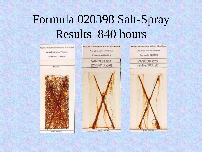# Formula 020398 Salt-Spray Results 840 hours

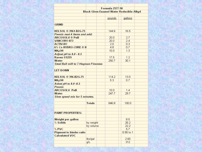|                                                         | <b>Formula 2577-50</b><br><b>Black Gloss Enamel Water Reducible Alkyd</b> |        |             |  |  |
|---------------------------------------------------------|---------------------------------------------------------------------------|--------|-------------|--|--|
|                                                         |                                                                           |        |             |  |  |
|                                                         |                                                                           | pounds | gallons     |  |  |
|                                                         |                                                                           |        |             |  |  |
| <b>GRIND</b>                                            |                                                                           |        |             |  |  |
|                                                         |                                                                           |        |             |  |  |
| KELSOL ® 3961-B2G-75                                    |                                                                           | 144.6  | 16.5        |  |  |
| Premix next 4 items and add:                            |                                                                           |        |             |  |  |
| <b>ARCOSOLV®PnB</b>                                     |                                                                           | 20.0   | 2.7         |  |  |
| VANCOR® 073                                             |                                                                           | 20.0   | 2.4         |  |  |
| ACTIV-8®                                                |                                                                           | 2.0    | 0.3         |  |  |
| 6% Co HYDRO-CURE ® II                                   |                                                                           | 4.8    | 0.7         |  |  |
| NH <sub>4</sub> OH                                      |                                                                           | 10.0   | 1.3         |  |  |
| Adjust pH to 8.0 - 8.5                                  |                                                                           |        |             |  |  |
| Raven ®1255                                             |                                                                           | 17.5   | 1.2         |  |  |
| Water                                                   |                                                                           | 250.7  | 30.1        |  |  |
| <b>Steel Ball mill to 7 Hegman Fineness</b>             |                                                                           |        |             |  |  |
|                                                         |                                                                           |        |             |  |  |
| <b>LET DOWN</b>                                         |                                                                           |        |             |  |  |
|                                                         |                                                                           |        |             |  |  |
| KELSOL ® 396-B2G-75                                     |                                                                           | 114.2  | 13.0        |  |  |
| NH <sub>4</sub> OH                                      |                                                                           | 5.3    | 0.7         |  |  |
| Adust pH to 8.0 -8.5                                    |                                                                           |        |             |  |  |
| Premix                                                  |                                                                           |        |             |  |  |
| <b>ARCOSOLV PnB</b>                                     |                                                                           | 10.0   | 1.4         |  |  |
| Water                                                   |                                                                           | 247.7  | 29.7        |  |  |
| Slow speed mix for 5 minutes.                           |                                                                           |        |             |  |  |
|                                                         |                                                                           |        |             |  |  |
|                                                         | <b>Totals</b>                                                             | 846.8  | 100.0       |  |  |
|                                                         |                                                                           |        |             |  |  |
| <b>PAINT PROPERTIES:</b>                                |                                                                           |        |             |  |  |
|                                                         |                                                                           |        |             |  |  |
| Weight per gallon                                       |                                                                           |        | 8.5         |  |  |
| % Solids                                                | by weight                                                                 |        | 26.2        |  |  |
|                                                         | by volume                                                                 |        | 22.2        |  |  |
| % PVC                                                   |                                                                           |        | 5.7         |  |  |
|                                                         |                                                                           |        | $0.90$ to 1 |  |  |
| <b>Pigment to binder ratio</b><br><b>Calculated VOC</b> |                                                                           |        |             |  |  |
|                                                         | lbs/gal                                                                   |        | 2.60        |  |  |
|                                                         | g/L                                                                       |        | 312         |  |  |
|                                                         |                                                                           |        |             |  |  |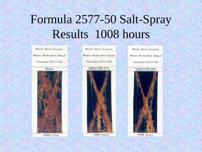# Formula 2577-50 Salt-Spray Results 1008 hours

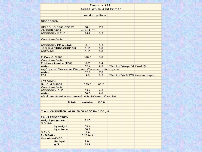|                            |                               |                               |                                                         | Formula 129 |                              |  |                                   |  |
|----------------------------|-------------------------------|-------------------------------|---------------------------------------------------------|-------------|------------------------------|--|-----------------------------------|--|
|                            |                               | <b>Gloss White DTM Primer</b> |                                                         |             |                              |  |                                   |  |
|                            |                               |                               |                                                         |             |                              |  |                                   |  |
|                            |                               |                               | pounds                                                  | gallons     |                              |  |                                   |  |
|                            |                               |                               |                                                         |             |                              |  |                                   |  |
| <b>DISPERSION</b>          |                               |                               |                                                         |             |                              |  |                                   |  |
|                            |                               |                               |                                                         |             |                              |  |                                   |  |
|                            | KELSOL ® 3960-B2G-75          |                               | 68.1                                                    | 7.9         |                              |  |                                   |  |
| VANCOR®081                 |                               |                               | variable **                                             |             |                              |  |                                   |  |
|                            | <b>ARCOSOLV®PnB</b>           |                               | 26.2                                                    | 3.6         |                              |  |                                   |  |
|                            |                               |                               |                                                         |             |                              |  |                                   |  |
| Premix and add:            |                               |                               |                                                         |             |                              |  |                                   |  |
|                            |                               |                               |                                                         |             |                              |  |                                   |  |
| <b>ARCOSOLV PM Acetate</b> |                               | 5.1                           | 0.6                                                     |             |                              |  |                                   |  |
| 10 % Co HYDRO-CURE ® II    |                               | 0.15                          | 0.0                                                     |             |                              |  |                                   |  |
| ACTIV-8®                   |                               |                               | 0.15                                                    | 0.0         |                              |  |                                   |  |
|                            |                               |                               |                                                         |             |                              |  |                                   |  |
| <b>Ti-Pure ® R-900</b>     |                               |                               | 100.0                                                   | 3.0         |                              |  |                                   |  |
| Premix and add:            |                               |                               |                                                         |             |                              |  |                                   |  |
|                            | <b>Triethanol amine (TEA)</b> |                               | 3.7                                                     | 0.4         |                              |  |                                   |  |
| Water                      |                               |                               | 52.4                                                    | 6.3         | Check pH (target 8.2 to 8.5) |  |                                   |  |
|                            |                               |                               | High speed disperse to 7 Hegman Fineness, reduce speed. |             |                              |  |                                   |  |
| Water                      |                               |                               | 62.9                                                    | 7.5         |                              |  |                                   |  |
| <b>TEA</b>                 |                               |                               | 1.9                                                     | 0.2         |                              |  | Check pH (add TEA to be in range) |  |
|                            |                               |                               |                                                         |             |                              |  |                                   |  |
| <b>LET DOWN</b>            |                               |                               |                                                         |             |                              |  |                                   |  |
| NeoCryl® 6085              |                               |                               | 523.8                                                   | 60.2        |                              |  |                                   |  |
| Premix and add:            |                               |                               |                                                         |             |                              |  |                                   |  |
| <b>ARCOSOLV PnB</b>        |                               |                               | 31.4                                                    | 4.3         |                              |  |                                   |  |
| Water                      |                               |                               | 50.0                                                    | 6.0         |                              |  |                                   |  |
|                            |                               |                               | Mix 5 minutes at slower speed. Add defoamer if needed.  |             |                              |  |                                   |  |
|                            |                               |                               |                                                         |             |                              |  |                                   |  |
|                            |                               | <b>Totals</b>                 | variable                                                | 100.0       |                              |  |                                   |  |
|                            |                               |                               |                                                         |             |                              |  |                                   |  |
|                            |                               |                               |                                                         |             |                              |  |                                   |  |
|                            |                               |                               | ** Add VANCOR 081 at 10, 20,30,40,50 lbs / 100 gal      |             |                              |  |                                   |  |
|                            |                               |                               |                                                         |             |                              |  |                                   |  |
|                            | <b>PAINT PROPERTIES</b>       |                               |                                                         |             |                              |  |                                   |  |
| % Solids                   | Weight per gallon             |                               | 9.25                                                    |             |                              |  |                                   |  |
|                            |                               |                               |                                                         |             |                              |  |                                   |  |
|                            | by weight                     |                               | 39.4<br>30.9                                            |             |                              |  |                                   |  |
| $%$ PVC                    | by volume                     |                               | 9.6                                                     |             |                              |  |                                   |  |
| P/B Ratio                  |                               |                               | $0.28$ to 1                                             |             |                              |  |                                   |  |
|                            |                               |                               |                                                         |             |                              |  |                                   |  |
| <b>Calculated VOC</b>      | Ibs/gal                       |                               | 2.01                                                    |             |                              |  |                                   |  |
|                            |                               |                               |                                                         |             |                              |  |                                   |  |
|                            | g/L                           |                               | 241                                                     |             |                              |  |                                   |  |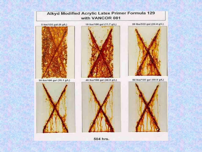

504 hrs.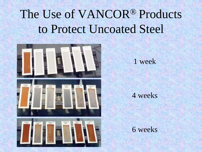# The Use of VANCOR® Products to Protect Uncoated Steel





1 week

#### 4 weeks

#### 6 weeks